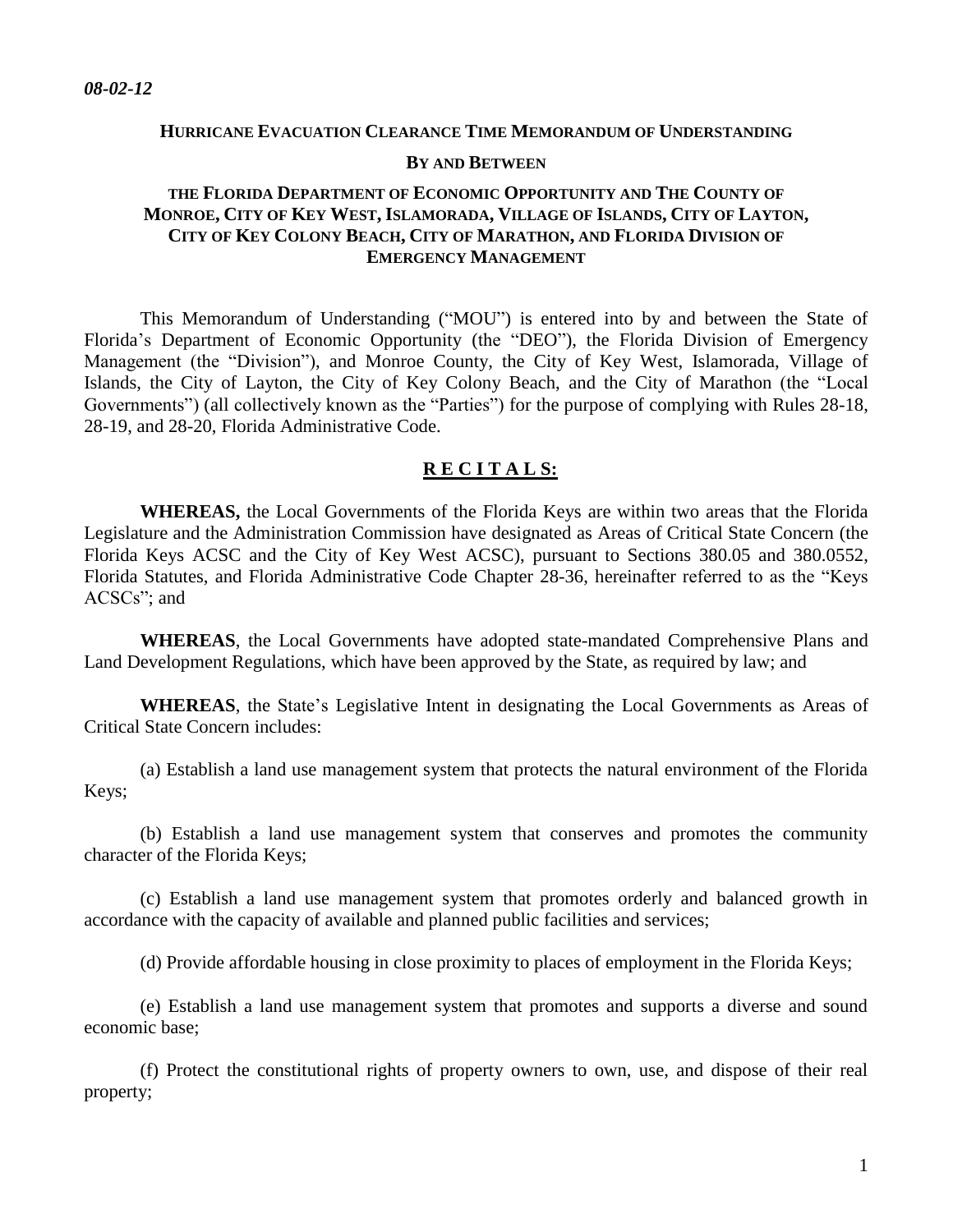# **HURRICANE EVACUATION CLEARANCE TIME MEMORANDUM OF UNDERSTANDING BY AND BETWEEN**

### **THE FLORIDA DEPARTMENT OF ECONOMIC OPPORTUNITY AND THE COUNTY OF**  MONROE, CITY OF KEY WEST, ISLAMORADA, VILLAGE OF ISLANDS, CITY OF LAYTON, **CITY OF KEY COLONY BEACH, CITY OF MARATHON, AND FLORIDA DIVISION OF EMERGENCY MANAGEMENT**

This Memorandum of Understanding ("MOU") is entered into by and between the State of Florida's Department of Economic Opportunity (the "DEO"), the Florida Division of Emergency Management (the "Division"), and Monroe County, the City of Key West, Islamorada, Village of Islands, the City of Layton, the City of Key Colony Beach, and the City of Marathon (the "Local Governments") (all collectively known as the "Parties") for the purpose of complying with Rules 28-18, 28-19, and 28-20, Florida Administrative Code.

#### **R E C I T A L S:**

**WHEREAS,** the Local Governments of the Florida Keys are within two areas that the Florida Legislature and the Administration Commission have designated as Areas of Critical State Concern (the Florida Keys ACSC and the City of Key West ACSC), pursuant to Sections 380.05 and 380.0552, Florida Statutes, and Florida Administrative Code Chapter 28-36, hereinafter referred to as the "Keys ACSCs"; and

**WHEREAS**, the Local Governments have adopted state-mandated Comprehensive Plans and Land Development Regulations, which have been approved by the State, as required by law; and

**WHEREAS**, the State's Legislative Intent in designating the Local Governments as Areas of Critical State Concern includes:

(a) Establish a land use management system that protects the natural environment of the Florida Keys;

(b) Establish a land use management system that conserves and promotes the community character of the Florida Keys;

(c) Establish a land use management system that promotes orderly and balanced growth in accordance with the capacity of available and planned public facilities and services;

(d) Provide affordable housing in close proximity to places of employment in the Florida Keys;

(e) Establish a land use management system that promotes and supports a diverse and sound economic base;

(f) Protect the constitutional rights of property owners to own, use, and dispose of their real property;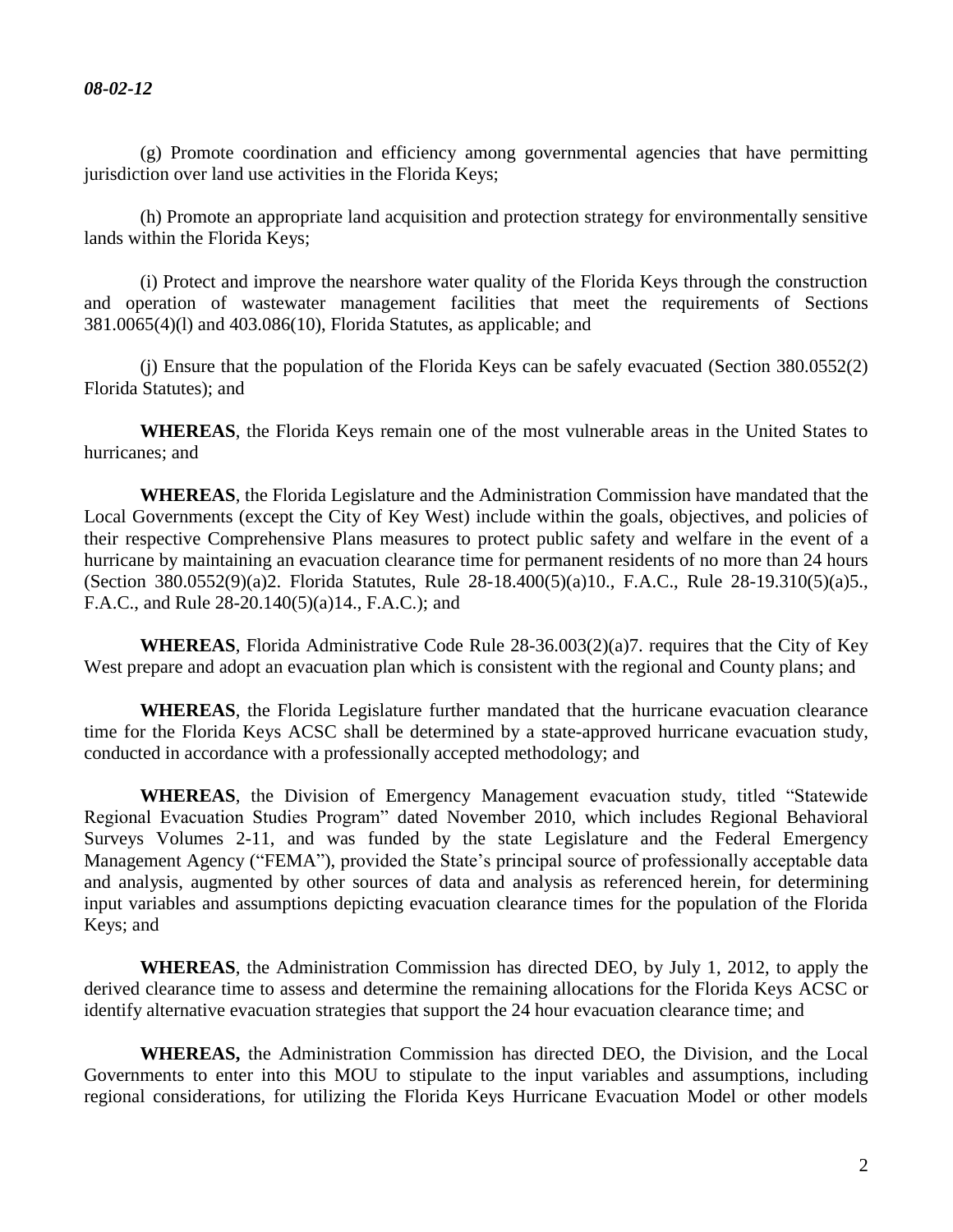(g) Promote coordination and efficiency among governmental agencies that have permitting jurisdiction over land use activities in the Florida Keys;

(h) Promote an appropriate land acquisition and protection strategy for environmentally sensitive lands within the Florida Keys;

(i) Protect and improve the nearshore water quality of the Florida Keys through the construction and operation of wastewater management facilities that meet the requirements of Sections 381.0065(4)(l) and 403.086(10), Florida Statutes, as applicable; and

(j) Ensure that the population of the Florida Keys can be safely evacuated (Section 380.0552(2) Florida Statutes); and

**WHEREAS**, the Florida Keys remain one of the most vulnerable areas in the United States to hurricanes; and

**WHEREAS**, the Florida Legislature and the Administration Commission have mandated that the Local Governments (except the City of Key West) include within the goals, objectives, and policies of their respective Comprehensive Plans measures to protect public safety and welfare in the event of a hurricane by maintaining an evacuation clearance time for permanent residents of no more than 24 hours (Section 380.0552(9)(a)2. Florida Statutes, Rule 28-18.400(5)(a)10., F.A.C., Rule 28-19.310(5)(a)5., F.A.C., and Rule 28-20.140(5)(a)14., F.A.C.); and

**WHEREAS**, Florida Administrative Code Rule 28-36.003(2)(a)7. requires that the City of Key West prepare and adopt an evacuation plan which is consistent with the regional and County plans; and

**WHEREAS**, the Florida Legislature further mandated that the hurricane evacuation clearance time for the Florida Keys ACSC shall be determined by a state-approved hurricane evacuation study, conducted in accordance with a professionally accepted methodology; and

**WHEREAS**, the Division of Emergency Management evacuation study, titled "Statewide Regional Evacuation Studies Program" dated November 2010, which includes Regional Behavioral Surveys Volumes 2-11, and was funded by the state Legislature and the Federal Emergency Management Agency ("FEMA"), provided the State's principal source of professionally acceptable data and analysis, augmented by other sources of data and analysis as referenced herein, for determining input variables and assumptions depicting evacuation clearance times for the population of the Florida Keys; and

**WHEREAS**, the Administration Commission has directed DEO, by July 1, 2012, to apply the derived clearance time to assess and determine the remaining allocations for the Florida Keys ACSC or identify alternative evacuation strategies that support the 24 hour evacuation clearance time; and

**WHEREAS,** the Administration Commission has directed DEO, the Division, and the Local Governments to enter into this MOU to stipulate to the input variables and assumptions, including regional considerations, for utilizing the Florida Keys Hurricane Evacuation Model or other models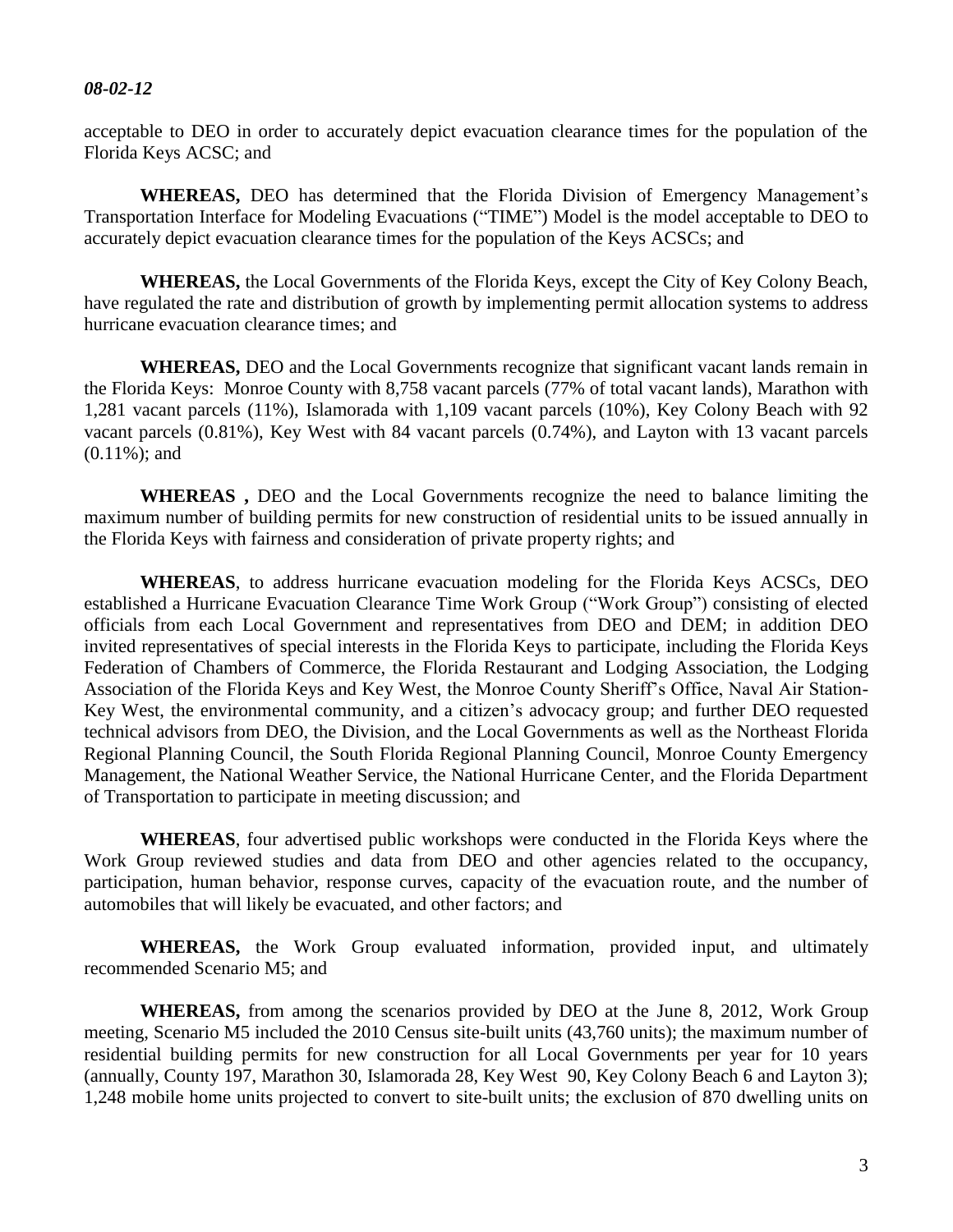acceptable to DEO in order to accurately depict evacuation clearance times for the population of the Florida Keys ACSC; and

**WHEREAS,** DEO has determined that the Florida Division of Emergency Management's Transportation Interface for Modeling Evacuations ("TIME") Model is the model acceptable to DEO to accurately depict evacuation clearance times for the population of the Keys ACSCs; and

**WHEREAS,** the Local Governments of the Florida Keys, except the City of Key Colony Beach, have regulated the rate and distribution of growth by implementing permit allocation systems to address hurricane evacuation clearance times; and

**WHEREAS,** DEO and the Local Governments recognize that significant vacant lands remain in the Florida Keys: Monroe County with 8,758 vacant parcels (77% of total vacant lands), Marathon with 1,281 vacant parcels (11%), Islamorada with 1,109 vacant parcels (10%), Key Colony Beach with 92 vacant parcels (0.81%), Key West with 84 vacant parcels (0.74%), and Layton with 13 vacant parcels (0.11%); and

**WHEREAS ,** DEO and the Local Governments recognize the need to balance limiting the maximum number of building permits for new construction of residential units to be issued annually in the Florida Keys with fairness and consideration of private property rights; and

**WHEREAS**, to address hurricane evacuation modeling for the Florida Keys ACSCs, DEO established a Hurricane Evacuation Clearance Time Work Group ("Work Group") consisting of elected officials from each Local Government and representatives from DEO and DEM; in addition DEO invited representatives of special interests in the Florida Keys to participate, including the Florida Keys Federation of Chambers of Commerce, the Florida Restaurant and Lodging Association, the Lodging Association of the Florida Keys and Key West, the Monroe County Sheriff's Office, Naval Air Station-Key West, the environmental community, and a citizen's advocacy group; and further DEO requested technical advisors from DEO, the Division, and the Local Governments as well as the Northeast Florida Regional Planning Council, the South Florida Regional Planning Council, Monroe County Emergency Management, the National Weather Service, the National Hurricane Center, and the Florida Department of Transportation to participate in meeting discussion; and

**WHEREAS**, four advertised public workshops were conducted in the Florida Keys where the Work Group reviewed studies and data from DEO and other agencies related to the occupancy, participation, human behavior, response curves, capacity of the evacuation route, and the number of automobiles that will likely be evacuated, and other factors; and

**WHEREAS,** the Work Group evaluated information, provided input, and ultimately recommended Scenario M5; and

**WHEREAS,** from among the scenarios provided by DEO at the June 8, 2012, Work Group meeting, Scenario M5 included the 2010 Census site-built units (43,760 units); the maximum number of residential building permits for new construction for all Local Governments per year for 10 years (annually, County 197, Marathon 30, Islamorada 28, Key West 90, Key Colony Beach 6 and Layton 3); 1,248 mobile home units projected to convert to site-built units; the exclusion of 870 dwelling units on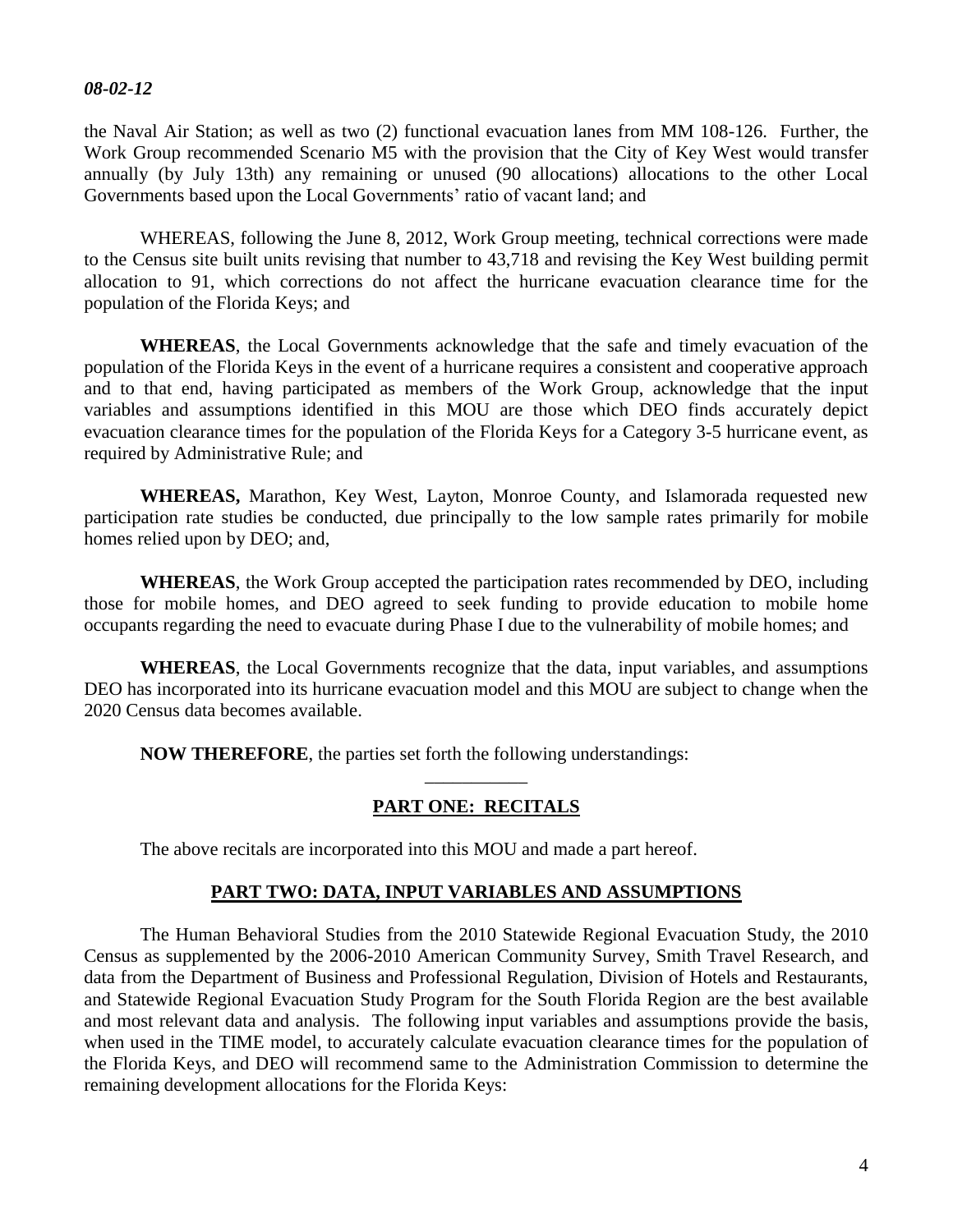the Naval Air Station; as well as two (2) functional evacuation lanes from MM 108-126. Further, the Work Group recommended Scenario M5 with the provision that the City of Key West would transfer annually (by July 13th) any remaining or unused (90 allocations) allocations to the other Local Governments based upon the Local Governments' ratio of vacant land; and

WHEREAS, following the June 8, 2012, Work Group meeting, technical corrections were made to the Census site built units revising that number to 43,718 and revising the Key West building permit allocation to 91, which corrections do not affect the hurricane evacuation clearance time for the population of the Florida Keys; and

**WHEREAS**, the Local Governments acknowledge that the safe and timely evacuation of the population of the Florida Keys in the event of a hurricane requires a consistent and cooperative approach and to that end, having participated as members of the Work Group, acknowledge that the input variables and assumptions identified in this MOU are those which DEO finds accurately depict evacuation clearance times for the population of the Florida Keys for a Category 3-5 hurricane event, as required by Administrative Rule; and

**WHEREAS,** Marathon, Key West, Layton, Monroe County, and Islamorada requested new participation rate studies be conducted, due principally to the low sample rates primarily for mobile homes relied upon by DEO; and,

**WHEREAS**, the Work Group accepted the participation rates recommended by DEO, including those for mobile homes, and DEO agreed to seek funding to provide education to mobile home occupants regarding the need to evacuate during Phase I due to the vulnerability of mobile homes; and

**WHEREAS**, the Local Governments recognize that the data, input variables, and assumptions DEO has incorporated into its hurricane evacuation model and this MOU are subject to change when the 2020 Census data becomes available.

**NOW THEREFORE**, the parties set forth the following understandings:

## \_\_\_\_\_\_\_\_\_\_\_ **PART ONE: RECITALS**

The above recitals are incorporated into this MOU and made a part hereof.

#### **PART TWO: DATA, INPUT VARIABLES AND ASSUMPTIONS**

The Human Behavioral Studies from the 2010 Statewide Regional Evacuation Study, the 2010 Census as supplemented by the 2006-2010 American Community Survey, Smith Travel Research, and data from the Department of Business and Professional Regulation, Division of Hotels and Restaurants, and Statewide Regional Evacuation Study Program for the South Florida Region are the best available and most relevant data and analysis. The following input variables and assumptions provide the basis, when used in the TIME model, to accurately calculate evacuation clearance times for the population of the Florida Keys, and DEO will recommend same to the Administration Commission to determine the remaining development allocations for the Florida Keys: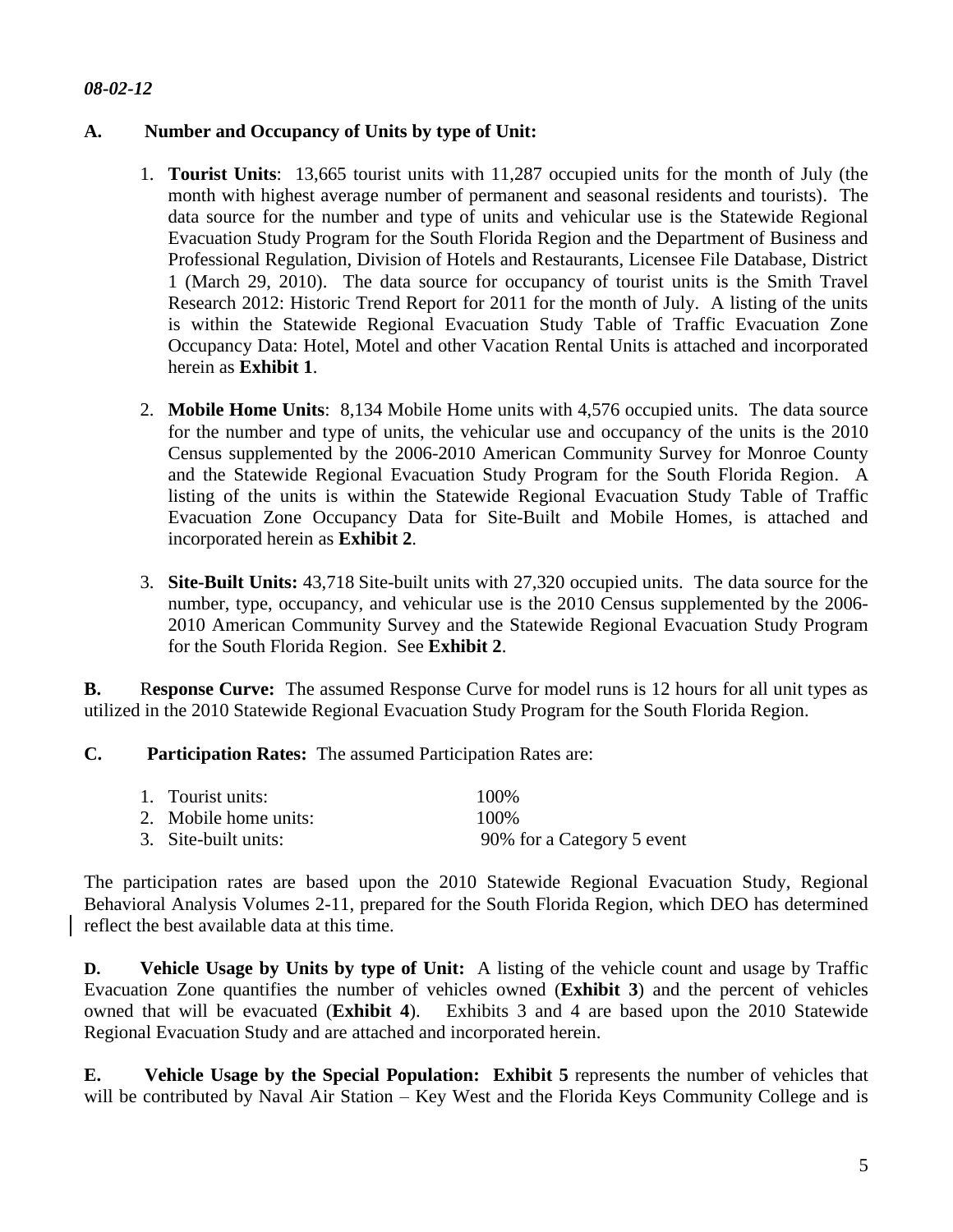### **A. Number and Occupancy of Units by type of Unit:**

- 1. **Tourist Units**: 13,665 tourist units with 11,287 occupied units for the month of July (the month with highest average number of permanent and seasonal residents and tourists). The data source for the number and type of units and vehicular use is the Statewide Regional Evacuation Study Program for the South Florida Region and the Department of Business and Professional Regulation, Division of Hotels and Restaurants, Licensee File Database, District 1 (March 29, 2010). The data source for occupancy of tourist units is the Smith Travel Research 2012: Historic Trend Report for 2011 for the month of July. A listing of the units is within the Statewide Regional Evacuation Study Table of Traffic Evacuation Zone Occupancy Data: Hotel, Motel and other Vacation Rental Units is attached and incorporated herein as **Exhibit 1**.
- 2. **Mobile Home Units**: 8,134 Mobile Home units with 4,576 occupied units. The data source for the number and type of units, the vehicular use and occupancy of the units is the 2010 Census supplemented by the 2006-2010 American Community Survey for Monroe County and the Statewide Regional Evacuation Study Program for the South Florida Region. A listing of the units is within the Statewide Regional Evacuation Study Table of Traffic Evacuation Zone Occupancy Data for Site-Built and Mobile Homes, is attached and incorporated herein as **Exhibit 2**.
- 3. **Site-Built Units:** 43,718 Site-built units with 27,320 occupied units. The data source for the number, type, occupancy, and vehicular use is the 2010 Census supplemented by the 2006- 2010 American Community Survey and the Statewide Regional Evacuation Study Program for the South Florida Region. See **Exhibit 2**.

**B.** R**esponse Curve:** The assumed Response Curve for model runs is 12 hours for all unit types as utilized in the 2010 Statewide Regional Evacuation Study Program for the South Florida Region.

#### **C. Participation Rates:** The assumed Participation Rates are:

| 1. Tourist units:     | 100\%                      |
|-----------------------|----------------------------|
| 2. Mobile home units: | 100\%                      |
| 3. Site-built units:  | 90% for a Category 5 event |

The participation rates are based upon the 2010 Statewide Regional Evacuation Study, Regional Behavioral Analysis Volumes 2-11, prepared for the South Florida Region, which DEO has determined reflect the best available data at this time.

**D. Vehicle Usage by Units by type of Unit:** A listing of the vehicle count and usage by Traffic Evacuation Zone quantifies the number of vehicles owned (**Exhibit 3**) and the percent of vehicles owned that will be evacuated (**Exhibit 4**). Exhibits 3 and 4 are based upon the 2010 Statewide Regional Evacuation Study and are attached and incorporated herein.

**E. Vehicle Usage by the Special Population: Exhibit 5** represents the number of vehicles that will be contributed by Naval Air Station – Key West and the Florida Keys Community College and is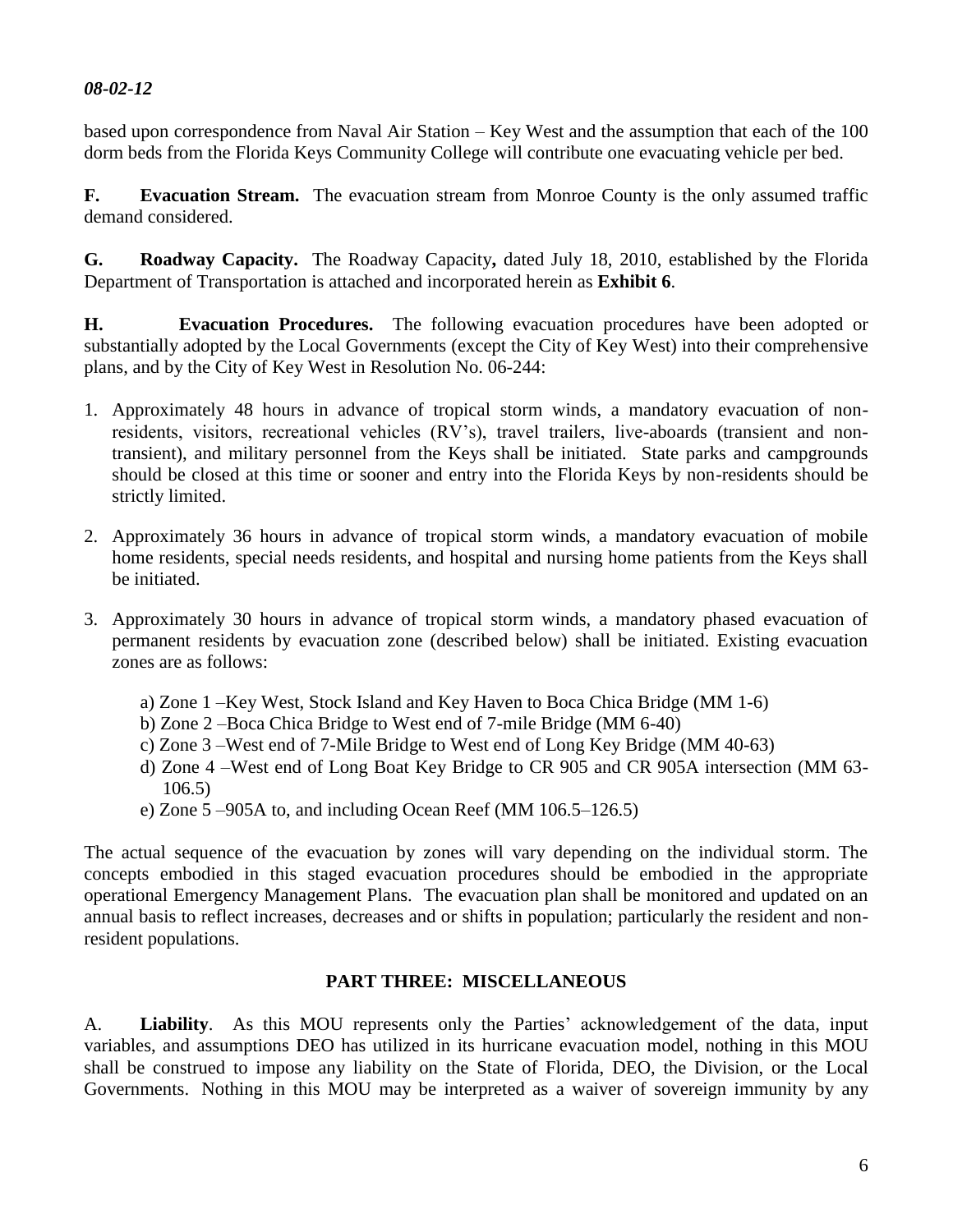based upon correspondence from Naval Air Station – Key West and the assumption that each of the 100 dorm beds from the Florida Keys Community College will contribute one evacuating vehicle per bed.

**F. Evacuation Stream.** The evacuation stream from Monroe County is the only assumed traffic demand considered.

**G. Roadway Capacity.** The Roadway Capacity**,** dated July 18, 2010, established by the Florida Department of Transportation is attached and incorporated herein as **Exhibit 6**.

**H. Evacuation Procedures.** The following evacuation procedures have been adopted or substantially adopted by the Local Governments (except the City of Key West) into their comprehensive plans, and by the City of Key West in Resolution No. 06-244:

- 1. Approximately 48 hours in advance of tropical storm winds, a mandatory evacuation of nonresidents, visitors, recreational vehicles (RV's), travel trailers, live-aboards (transient and nontransient), and military personnel from the Keys shall be initiated. State parks and campgrounds should be closed at this time or sooner and entry into the Florida Keys by non-residents should be strictly limited.
- 2. Approximately 36 hours in advance of tropical storm winds, a mandatory evacuation of mobile home residents, special needs residents, and hospital and nursing home patients from the Keys shall be initiated.
- 3. Approximately 30 hours in advance of tropical storm winds, a mandatory phased evacuation of permanent residents by evacuation zone (described below) shall be initiated. Existing evacuation zones are as follows:
	- a) Zone 1 –Key West, Stock Island and Key Haven to Boca Chica Bridge (MM 1-6)
	- b) Zone 2 –Boca Chica Bridge to West end of 7-mile Bridge (MM 6-40)
	- c) Zone 3 –West end of 7-Mile Bridge to West end of Long Key Bridge (MM 40-63)
	- d) Zone 4 –West end of Long Boat Key Bridge to CR 905 and CR 905A intersection (MM 63- 106.5)
	- e) Zone 5 –905A to, and including Ocean Reef (MM 106.5–126.5)

The actual sequence of the evacuation by zones will vary depending on the individual storm. The concepts embodied in this staged evacuation procedures should be embodied in the appropriate operational Emergency Management Plans. The evacuation plan shall be monitored and updated on an annual basis to reflect increases, decreases and or shifts in population; particularly the resident and nonresident populations.

#### **PART THREE: MISCELLANEOUS**

A. **Liability**. As this MOU represents only the Parties' acknowledgement of the data, input variables, and assumptions DEO has utilized in its hurricane evacuation model, nothing in this MOU shall be construed to impose any liability on the State of Florida, DEO, the Division, or the Local Governments. Nothing in this MOU may be interpreted as a waiver of sovereign immunity by any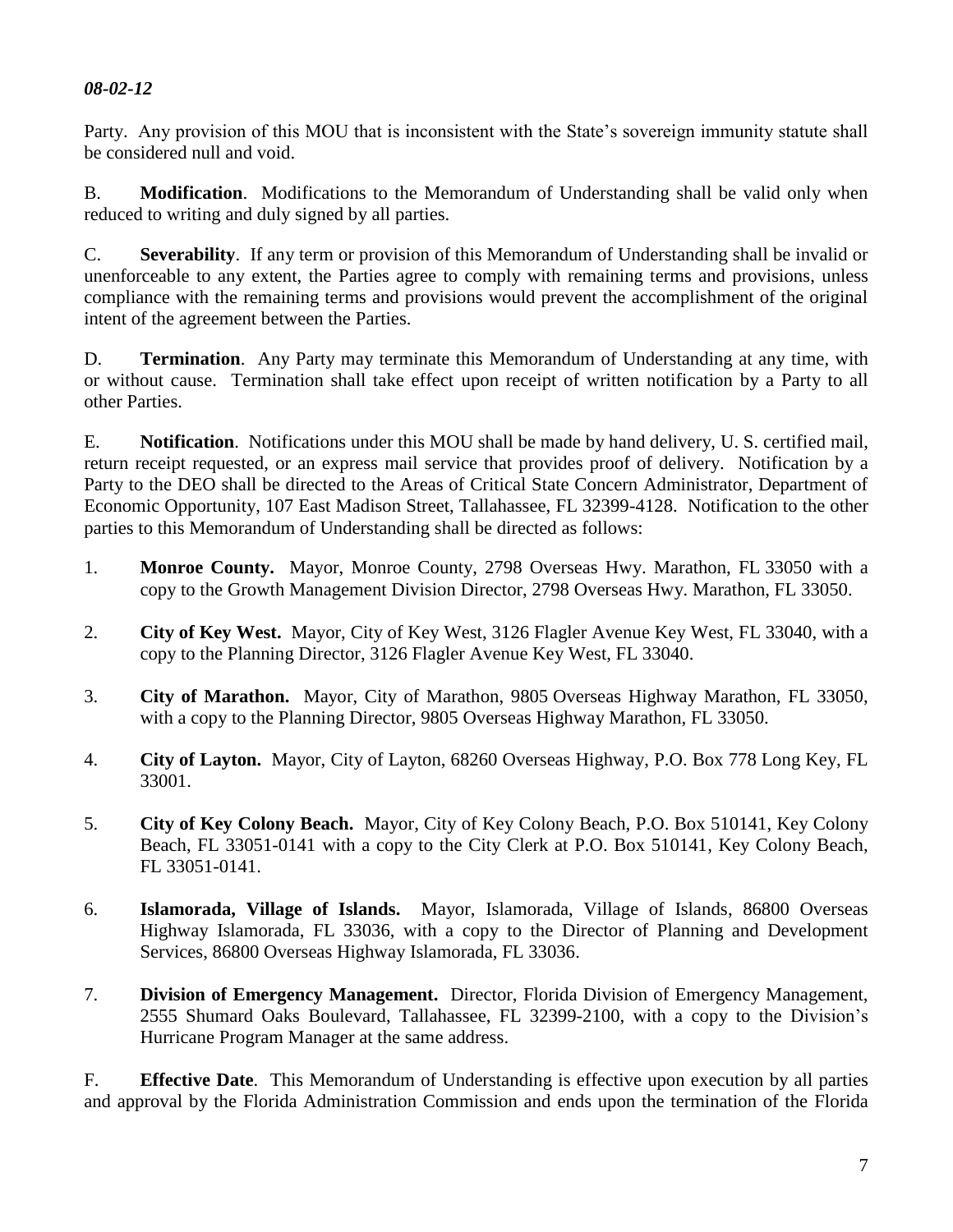Party. Any provision of this MOU that is inconsistent with the State's sovereign immunity statute shall be considered null and void.

B. **Modification**. Modifications to the Memorandum of Understanding shall be valid only when reduced to writing and duly signed by all parties.

C. **Severability**. If any term or provision of this Memorandum of Understanding shall be invalid or unenforceable to any extent, the Parties agree to comply with remaining terms and provisions, unless compliance with the remaining terms and provisions would prevent the accomplishment of the original intent of the agreement between the Parties.

D. **Termination**. Any Party may terminate this Memorandum of Understanding at any time, with or without cause. Termination shall take effect upon receipt of written notification by a Party to all other Parties.

E. **Notification**. Notifications under this MOU shall be made by hand delivery, U. S. certified mail, return receipt requested, or an express mail service that provides proof of delivery. Notification by a Party to the DEO shall be directed to the Areas of Critical State Concern Administrator, Department of Economic Opportunity, 107 East Madison Street, Tallahassee, FL 32399-4128. Notification to the other parties to this Memorandum of Understanding shall be directed as follows:

- 1. **Monroe County.** Mayor, Monroe County, 2798 Overseas Hwy. Marathon, FL 33050 with a copy to the Growth Management Division Director, 2798 Overseas Hwy. Marathon, FL 33050.
- 2. **City of Key West.** Mayor, City of Key West, 3126 Flagler Avenue Key West, FL 33040, with a copy to the Planning Director, 3126 Flagler Avenue Key West, FL 33040.
- 3. **City of Marathon.** Mayor, City of Marathon, 9805 Overseas Highway Marathon, FL 33050, with a copy to the Planning Director, 9805 Overseas Highway Marathon, FL 33050.
- 4. **City of Layton.** Mayor, City of Layton, 68260 Overseas Highway, P.O. Box 778 Long Key, FL 33001.
- 5. **City of Key Colony Beach.** Mayor, City of Key Colony Beach, P.O. Box 510141, Key Colony Beach, FL 33051-0141 with a copy to the City Clerk at P.O. Box 510141, Key Colony Beach, FL 33051-0141.
- 6. **Islamorada, Village of Islands.** Mayor, Islamorada, Village of Islands, 86800 Overseas Highway Islamorada, FL 33036, with a copy to the Director of Planning and Development Services, 86800 Overseas Highway Islamorada, FL 33036.
- 7. **Division of Emergency Management.** Director, Florida Division of Emergency Management, 2555 Shumard Oaks Boulevard, Tallahassee, FL 32399-2100, with a copy to the Division's Hurricane Program Manager at the same address.

F. **Effective Date**. This Memorandum of Understanding is effective upon execution by all parties and approval by the Florida Administration Commission and ends upon the termination of the Florida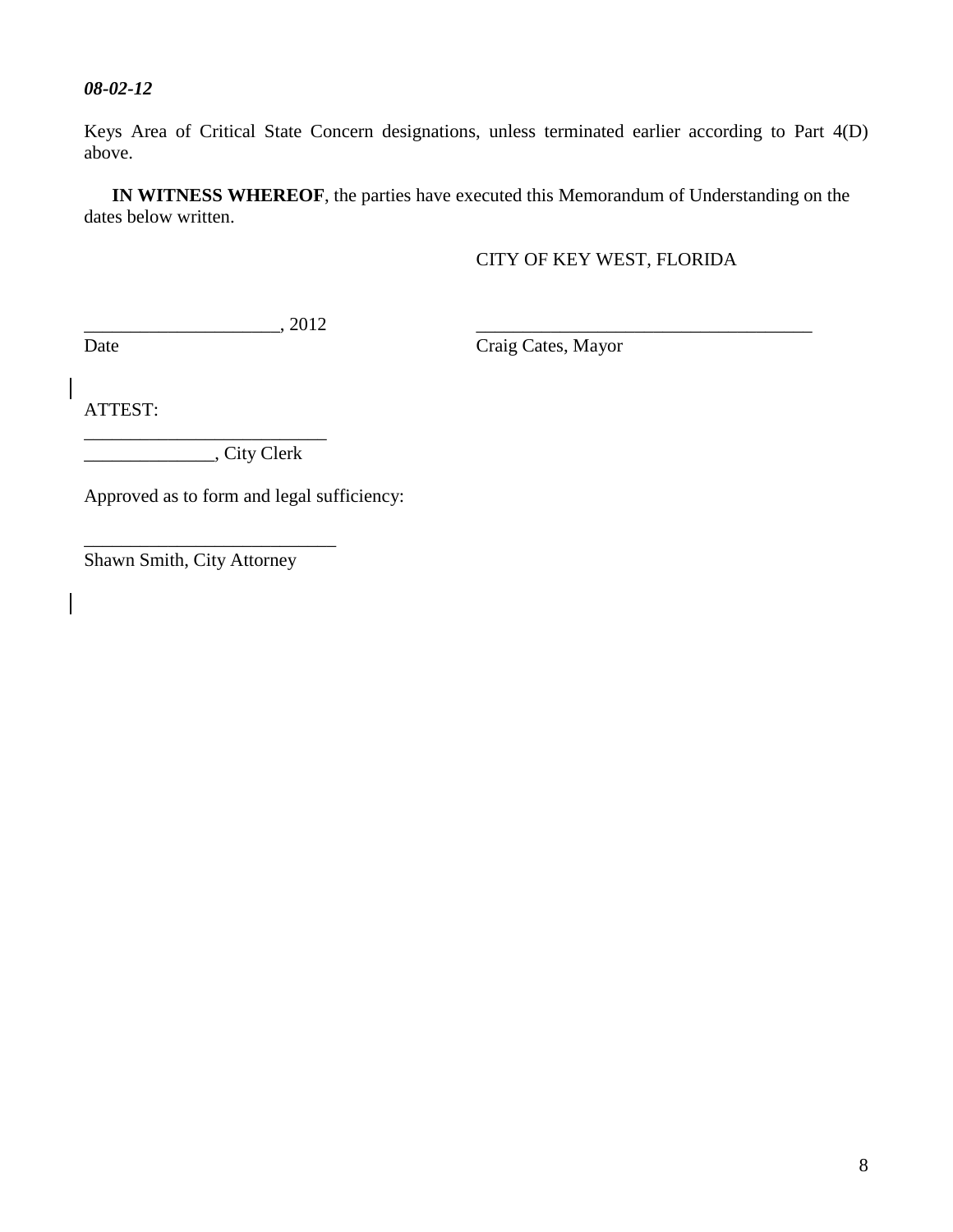Keys Area of Critical State Concern designations, unless terminated earlier according to Part 4(D) above.

**IN WITNESS WHEREOF**, the parties have executed this Memorandum of Understanding on the dates below written.

### CITY OF KEY WEST, FLORIDA

 $\frac{1}{2012}$ 

Date Craig Cates, Mayor

ATTEST:

\_\_\_\_\_\_\_\_\_\_\_\_\_\_\_\_\_\_\_\_\_\_\_\_\_\_ \_\_\_\_\_\_\_\_\_\_\_\_\_\_, City Clerk

Approved as to form and legal sufficiency:

[Shawn](mailto:Timothy.McCausland@lakelandgov.net) Smith, City Attorney

\_\_\_\_\_\_\_\_\_\_\_\_\_\_\_\_\_\_\_\_\_\_\_\_\_\_\_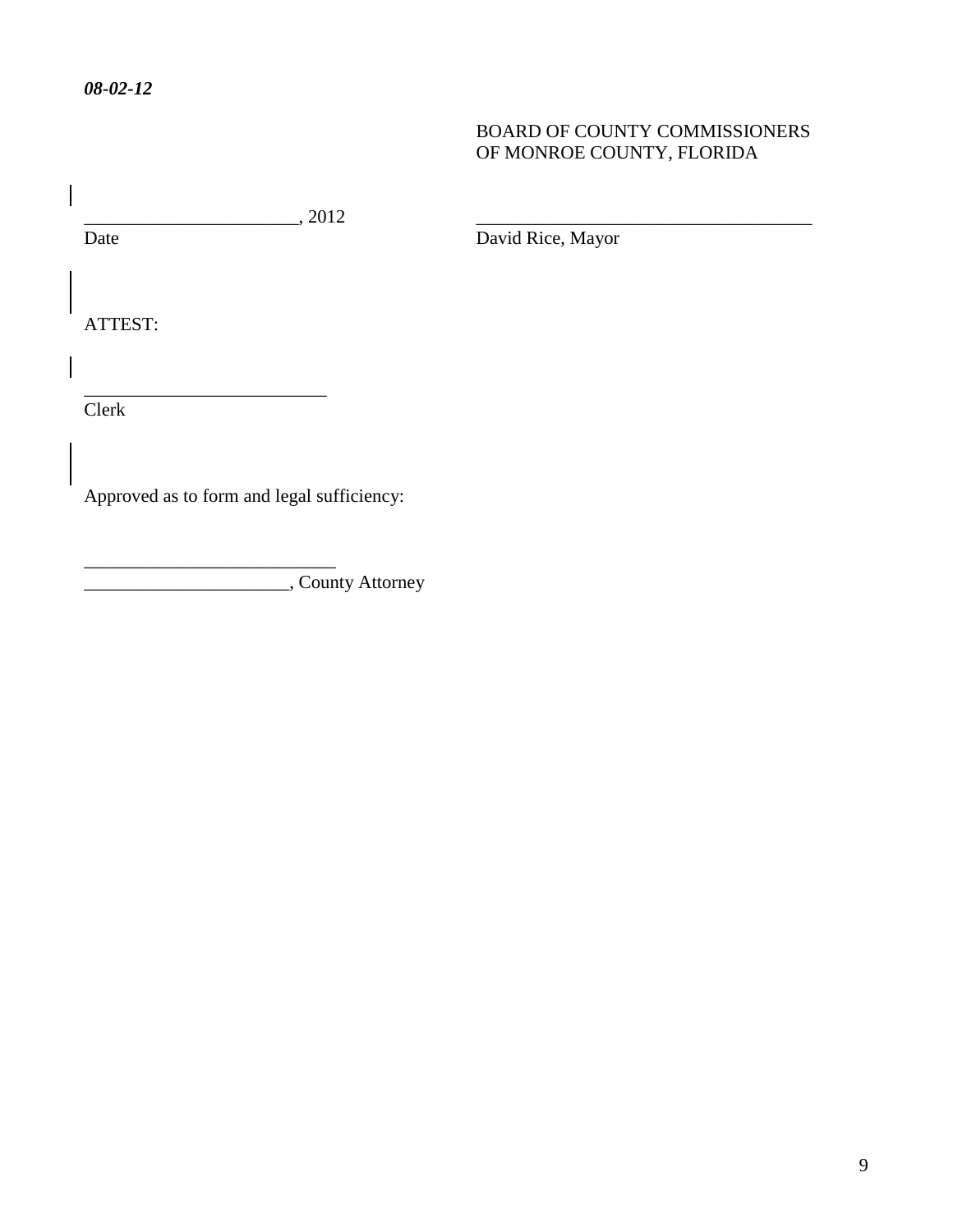### BOARD OF COUNTY COMMISSIONERS OF MONROE COUNTY, FLORIDA

 $\frac{1}{\text{Date}}$ , 2012

\_\_\_\_\_\_\_\_\_\_\_\_\_\_\_\_\_\_\_\_\_\_\_\_\_\_

\_\_\_\_\_\_\_\_\_\_\_\_\_\_\_\_\_\_\_\_\_\_\_\_\_\_\_

David Rice, Mayor

ATTEST:

Clerk

Approved as to form and legal sufficiency:

\_\_\_\_\_\_\_\_\_\_\_\_\_\_\_\_\_\_\_\_\_\_, County Attorney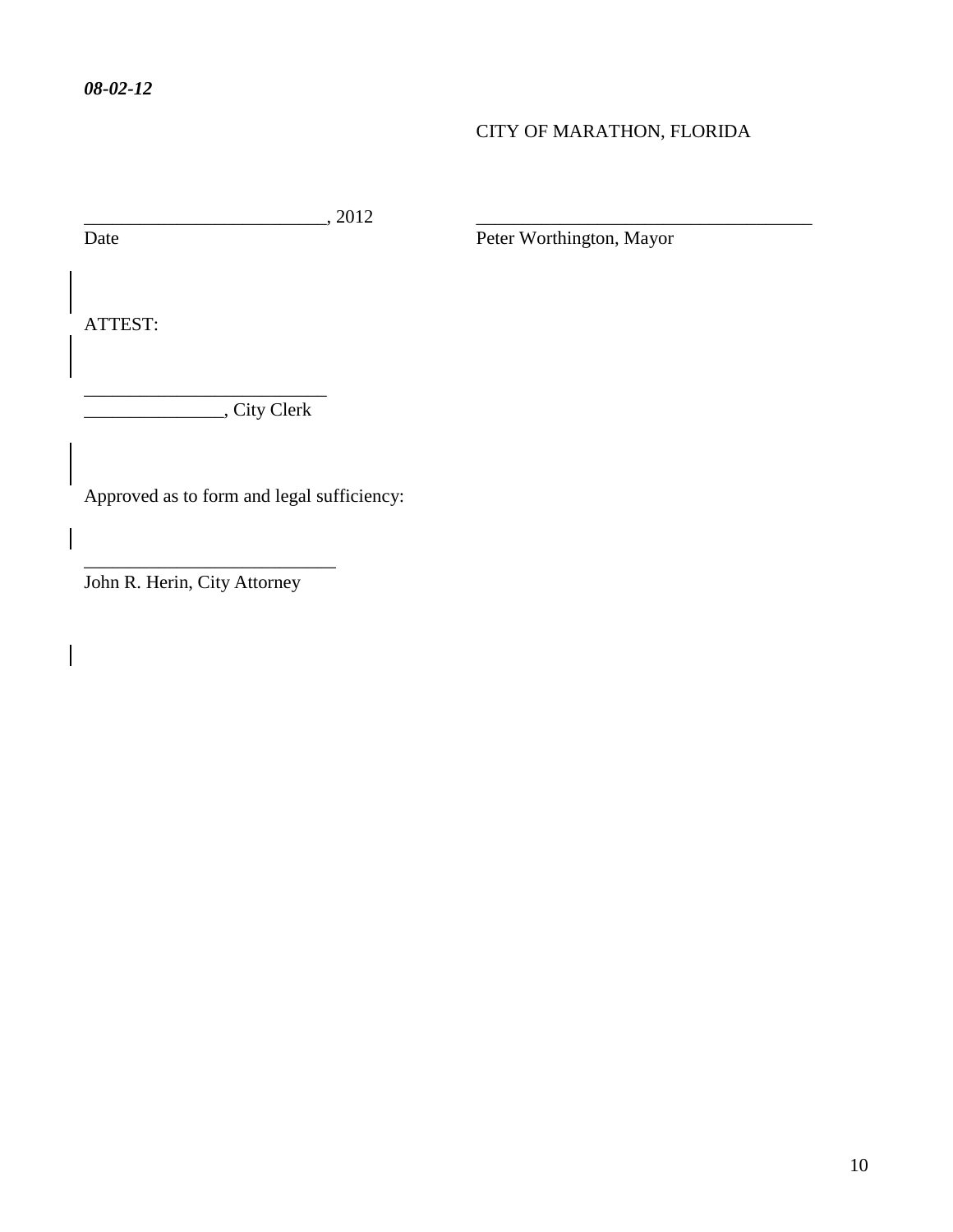## CITY OF MARATHON, FLORIDA

\_\_\_\_\_\_\_\_\_\_\_\_\_\_\_\_\_\_\_\_\_\_\_\_\_\_, 2012 \_\_\_\_\_\_\_\_\_\_\_\_\_\_\_\_\_\_\_\_\_\_\_\_\_\_\_\_\_\_\_\_\_\_\_\_

Peter Worthington, Mayor

ATTEST:

 $\overline{\phantom{a}}$ 

\_\_\_\_\_\_\_\_\_\_\_\_\_\_\_, City Clerk

\_\_\_\_\_\_\_\_\_\_\_\_\_\_\_\_\_\_\_\_\_\_\_\_\_\_

Approved as to form and legal sufficiency:

John R. Herin, City Attorney

\_\_\_\_\_\_\_\_\_\_\_\_\_\_\_\_\_\_\_\_\_\_\_\_\_\_\_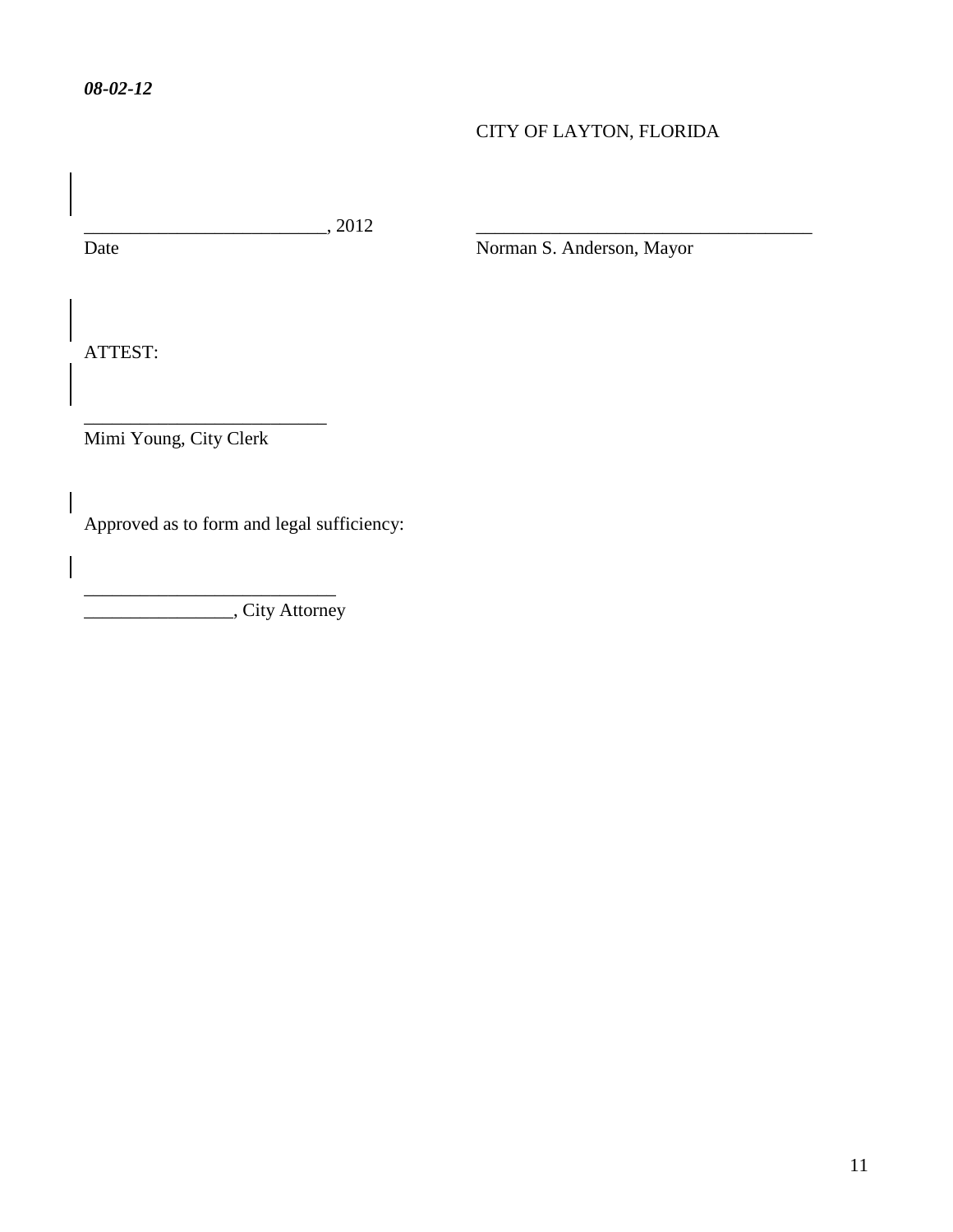## CITY OF LAYTON, FLORIDA

 $\frac{1}{\text{Date}}$ , 2012

Norman S. Anderson, Mayor

ATTEST:

Mimi Young, City Clerk

\_\_\_\_\_\_\_\_\_\_\_\_\_\_\_\_\_\_\_\_\_\_\_\_\_\_

\_\_\_\_\_\_\_\_\_\_\_\_\_\_\_\_\_\_\_\_\_\_\_\_\_\_\_

Approved as to form and legal sufficiency:

\_\_\_\_\_\_\_\_\_\_\_\_\_\_\_\_, City Attorney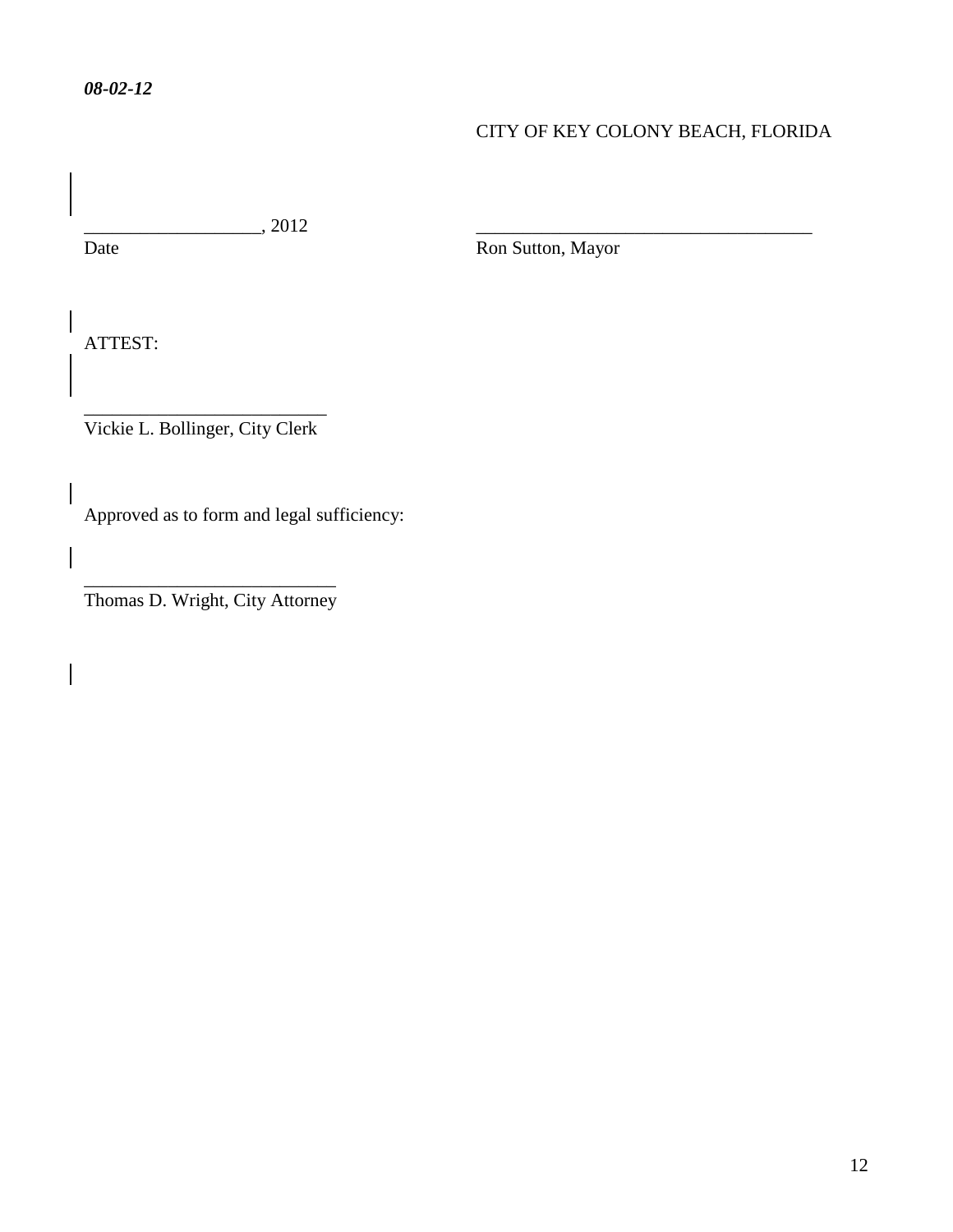## CITY OF KEY COLONY BEACH, FLORIDA

 $\frac{1}{\text{Date}}$ , 2012

Ron Sutton, Mayor

ATTEST:

\_\_\_\_\_\_\_\_\_\_\_\_\_\_\_\_\_\_\_\_\_\_\_\_\_\_ Vickie L. Bollinger, City Clerk

Approved as to form and legal sufficiency:

\_\_\_\_\_\_\_\_\_\_\_\_\_\_\_\_\_\_\_\_\_\_\_\_\_\_\_ Thomas D. Wright, City Attorney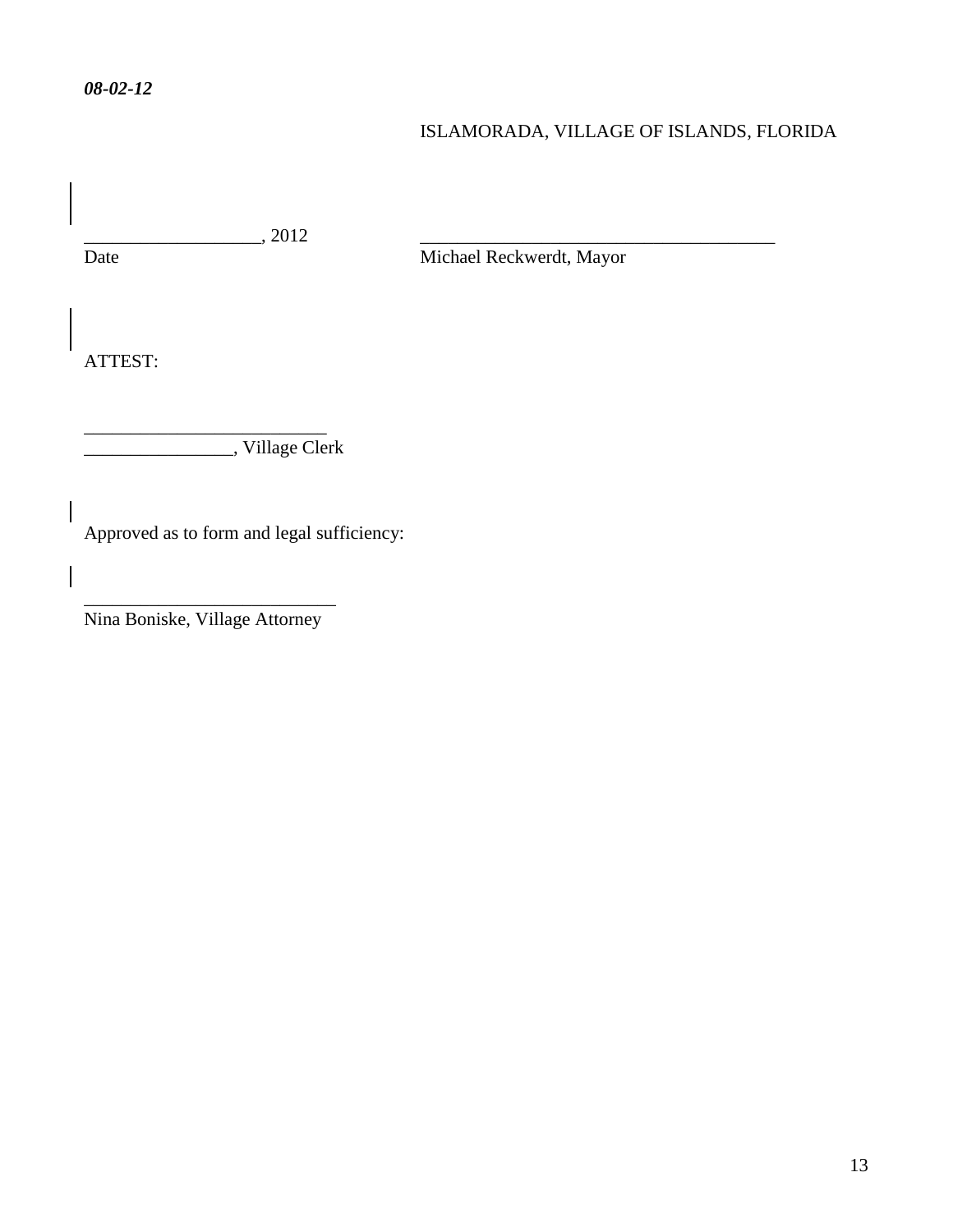## ISLAMORADA, VILLAGE OF ISLANDS, FLORIDA

\_\_\_\_\_\_\_\_\_\_\_\_\_\_\_\_\_\_\_, 2012 \_\_\_\_\_\_\_\_\_\_\_\_\_\_\_\_\_\_\_\_\_\_\_\_\_\_\_\_\_\_\_\_\_\_\_\_\_\_

Michael Reckwerdt, Mayor

ATTEST:

\_\_\_\_\_\_\_\_\_\_\_\_\_\_\_\_\_\_\_\_\_\_\_\_\_\_ \_\_\_\_\_\_\_\_\_\_\_\_\_\_\_\_, Village Clerk

Approved as to form and legal sufficiency:

\_\_\_\_\_\_\_\_\_\_\_\_\_\_\_\_\_\_\_\_\_\_\_\_\_\_\_ Nina Boniske, Village Attorney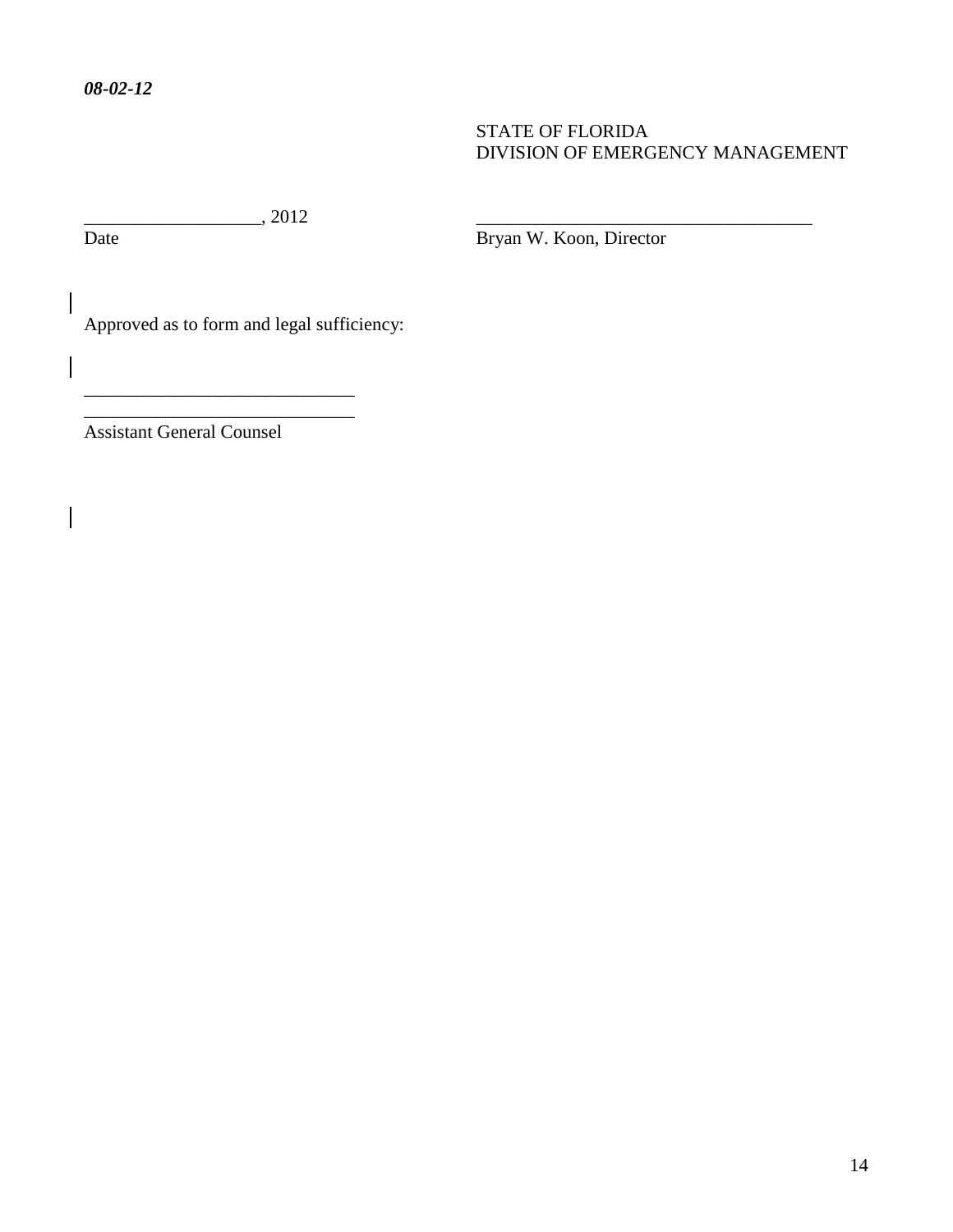### STATE OF FLORIDA DIVISION OF EMERGENCY MANAGEMENT

 $\overline{\text{Date}}$ , 2012

 $\overline{\phantom{a}}$ 

Bryan W. Koon, Director

Approved as to form and legal sufficiency:

\_\_\_\_\_\_\_\_\_\_\_\_\_\_\_\_\_\_\_\_\_\_\_\_\_\_\_\_\_ \_\_\_\_\_\_\_\_\_\_\_\_\_\_\_\_\_\_\_\_\_\_\_\_\_\_\_\_\_

Assistant General Counsel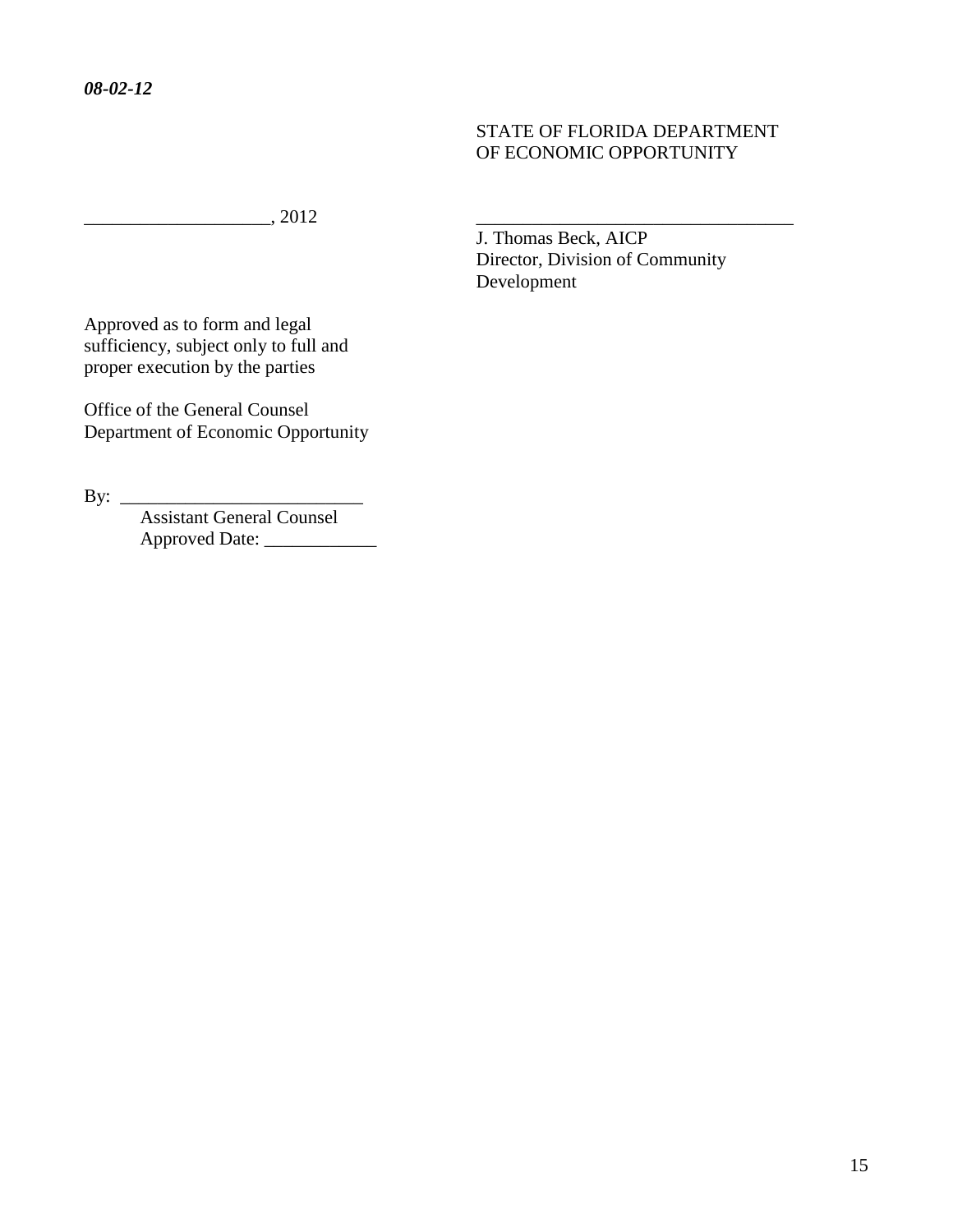### STATE OF FLORIDA DEPARTMENT OF ECONOMIC OPPORTUNITY

 $\frac{1}{2012}$ 

 J. Thomas Beck, AICP Director, Division of Community Development

Approved as to form and legal sufficiency, subject only to full and proper execution by the parties

Office of the General Counsel Department of Economic Opportunity

By: \_\_\_\_\_\_\_\_\_\_\_\_\_\_\_\_\_\_\_\_\_\_\_\_\_\_

Assistant General Counsel Approved Date: \_\_\_\_\_\_\_\_\_\_\_\_